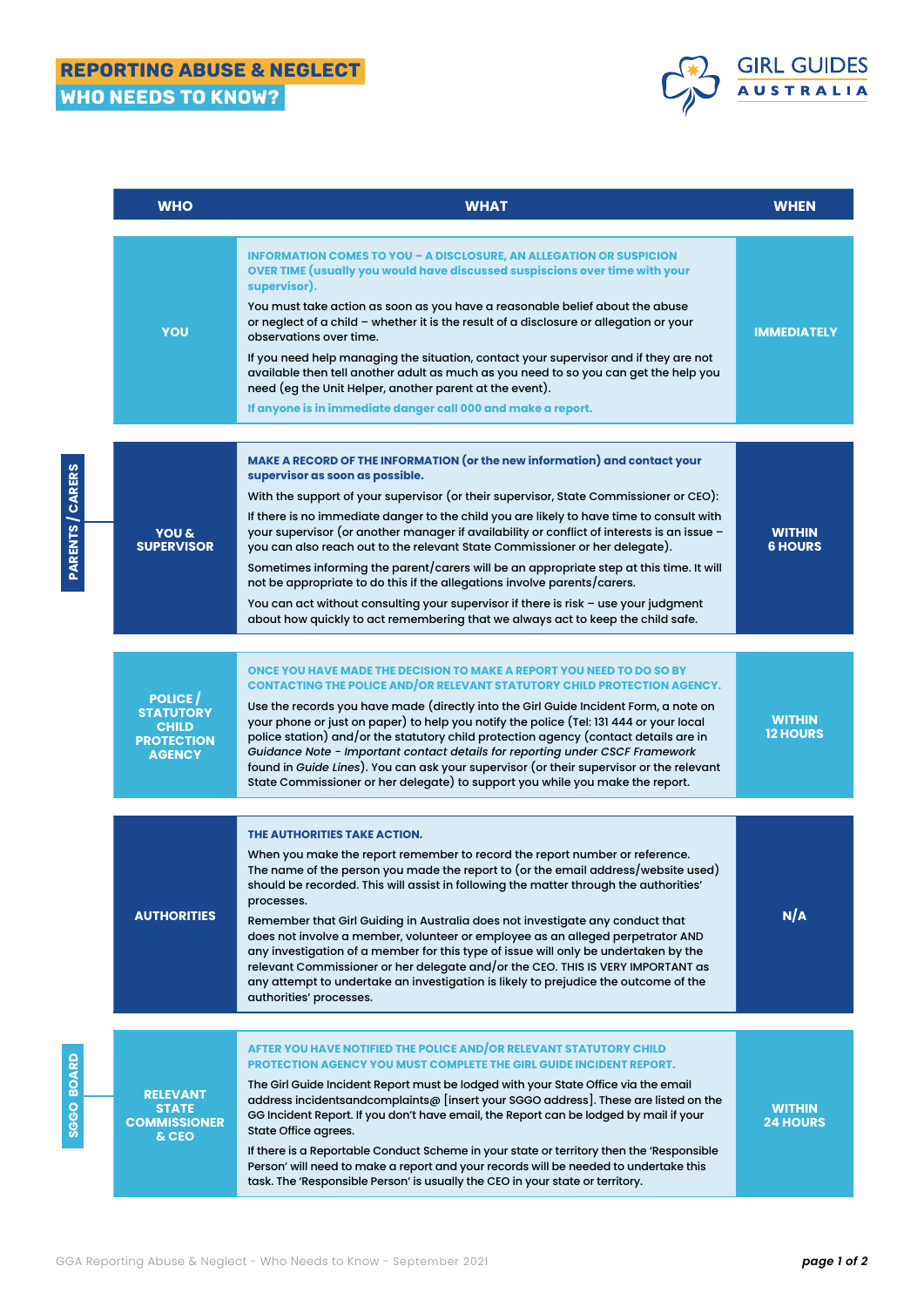# REPORTING ABUSE & NEGLECT WHO NEEDS TO KNOW?

**PARENTS / CARERS**

**PARENTS / CARERS** 

**SGGO BOARD**

SGGO BOARD



| <b>WHO</b>                                                                              | <b>WHAT</b>                                                                                                                                                                                                                                                                                                                                                                                                                                                                                                                                                                                                                                                                                                                                                                                                                      | <b>WHEN</b>                      |
|-----------------------------------------------------------------------------------------|----------------------------------------------------------------------------------------------------------------------------------------------------------------------------------------------------------------------------------------------------------------------------------------------------------------------------------------------------------------------------------------------------------------------------------------------------------------------------------------------------------------------------------------------------------------------------------------------------------------------------------------------------------------------------------------------------------------------------------------------------------------------------------------------------------------------------------|----------------------------------|
| YOU                                                                                     | <b>INFORMATION COMES TO YOU - A DISCLOSURE, AN ALLEGATION OR SUSPICION</b><br>OVER TIME (usually you would have discussed suspiscions over time with your<br>supervisor).<br>You must take action as soon as you have a reasonable belief about the abuse<br>or neglect of a child - whether it is the result of a disclosure or allegation or your<br>observations over time.<br>If you need help managing the situation, contact your supervisor and if they are not<br>available then tell another adult as much as you need to so you can get the help you<br>need (eg the Unit Helper, another parent at the event).<br>If anyone is in immediate danger call 000 and make a report.                                                                                                                                        | <b>IMMEDIATELY</b>               |
| <b>YOU &amp;</b><br><b>SUPERVISOR</b>                                                   | MAKE A RECORD OF THE INFORMATION (or the new information) and contact your<br>supervisor as soon as possible.<br>With the support of your supervisor (or their supervisor, State Commissioner or CEO):<br>If there is no immediate danger to the child you are likely to have time to consult with<br>your supervisor (or another manager if availability or conflict of interests is an issue -<br>you can also reach out to the relevant State Commissioner or her delegate).<br>Sometimes informing the parent/carers will be an appropriate step at this time. It will<br>not be appropriate to do this if the allegations involve parents/carers.<br>You can act without consulting your supervisor if there is risk - use your judgment<br>about how quickly to act remembering that we always act to keep the child safe. | <b>WITHIN</b><br><b>6 HOURS</b>  |
| <b>POLICE</b><br><b>STATUTORY</b><br><b>CHILD</b><br><b>PROTECTION</b><br><b>AGENCY</b> | ONCE YOU HAVE MADE THE DECISION TO MAKE A REPORT YOU NEED TO DO SO BY<br>CONTACTING THE POLICE AND OR RELEVANT STATUTORY CHILD PROTECTION AGENCY.<br>Use the records you have made (directly into the Girl Guide Incident Form, a note on<br>your phone or just on paper) to help you notify the police (Tel: 131 444 or your local<br>police station) and/or the statutory child protection agency (contact details are in<br>Guidance Note - Important contact details for reporting under CSCF Framework<br>found in Guide Lines). You can ask your supervisor (or their supervisor or the relevant<br>State Commissioner or her delegate) to support you while you make the report.                                                                                                                                          | <b>WITHIN</b><br><b>12 HOURS</b> |
| <b>AUTHORITIES</b>                                                                      | THE AUTHORITIES TAKE ACTION.<br>When you make the report remember to record the report number or reference.<br>The name of the person you made the report to (or the email address/website used)<br>should be recorded. This will assist in following the matter through the authorities'<br>processes.<br>Remember that Girl Guiding in Australia does not investigate any conduct that<br>does not involve a member, volunteer or employee as an alleged perpetrator AND<br>any investigation of a member for this type of issue will only be undertaken by the<br>relevant Commissioner or her delegate and/or the CEO. THIS IS VERY IMPORTANT as<br>any attempt to undertake an investigation is likely to prejudice the outcome of the<br>authorities' processes.                                                           | N/A                              |
| <b>RELEVANT</b><br><b>STATE</b><br><b>COMMISSIONER</b><br>& CEO                         | AFTER YOU HAVE NOTIFIED THE POLICE AND/OR RELEVANT STATUTORY CHILD<br><b>PROTECTION AGENCY YOU MUST COMPLETE THE GIRL GUIDE INCIDENT REPORT.</b><br>The Girl Guide Incident Report must be lodged with your State Office via the email<br>address incidentsandcomplaints@ [insert your SGGO address]. These are listed on the<br>GG Incident Report. If you don't have email, the Report can be lodged by mail if your<br>State Office agrees.<br>If there is a Reportable Conduct Scheme in your state or territory then the 'Responsible<br>Person' will need to make a report and your records will be needed to undertake this<br>task. The 'Responsible Person' is usually the CEO in your state or territory.                                                                                                              | <b>WITHIN</b><br><b>24 HOURS</b> |